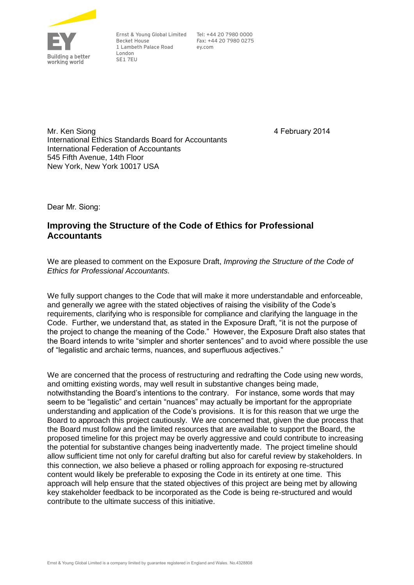

Ernst & Young Global Limited Tel: +44 20 7980 0000 Becket House 1 Lambeth Palace Road London SE1 7EU

Fax: +44 20 7980 0275 ey.com

4 February 2014

Mr. Ken Siong International Ethics Standards Board for Accountants International Federation of Accountants 545 Fifth Avenue, 14th Floor New York, New York 10017 USA

Dear Mr. Siong:

# **Improving the Structure of the Code of Ethics for Professional Accountants**

We are pleased to comment on the Exposure Draft, *Improving the Structure of the Code of Ethics for Professional Accountants.* 

We fully support changes to the Code that will make it more understandable and enforceable, and generally we agree with the stated objectives of raising the visibility of the Code's requirements, clarifying who is responsible for compliance and clarifying the language in the Code. Further, we understand that, as stated in the Exposure Draft, "it is not the purpose of the project to change the meaning of the Code." However, the Exposure Draft also states that the Board intends to write "simpler and shorter sentences" and to avoid where possible the use of "legalistic and archaic terms, nuances, and superfluous adjectives."

We are concerned that the process of restructuring and redrafting the Code using new words, and omitting existing words, may well result in substantive changes being made, notwithstanding the Board's intentions to the contrary. For instance, some words that may seem to be "legalistic" and certain "nuances" may actually be important for the appropriate understanding and application of the Code's provisions. It is for this reason that we urge the Board to approach this project cautiously. We are concerned that, given the due process that the Board must follow and the limited resources that are available to support the Board, the proposed timeline for this project may be overly aggressive and could contribute to increasing the potential for substantive changes being inadvertently made. The project timeline should allow sufficient time not only for careful drafting but also for careful review by stakeholders. In this connection, we also believe a phased or rolling approach for exposing re-structured content would likely be preferable to exposing the Code in its entirety at one time. This approach will help ensure that the stated objectives of this project are being met by allowing key stakeholder feedback to be incorporated as the Code is being re-structured and would contribute to the ultimate success of this initiative.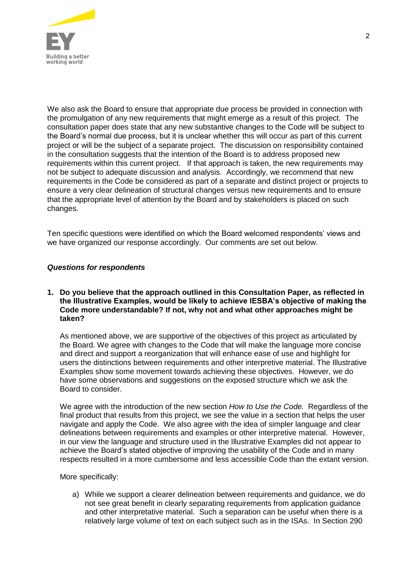

We also ask the Board to ensure that appropriate due process be provided in connection with the promulgation of any new requirements that might emerge as a result of this project. The consultation paper does state that any new substantive changes to the Code will be subject to the Board's normal due process, but it is unclear whether this will occur as part of this current project or will be the subject of a separate project. The discussion on responsibility contained in the consultation suggests that the intention of the Board is to address proposed new requirements within this current project. If that approach is taken, the new requirements may not be subject to adequate discussion and analysis. Accordingly, we recommend that new requirements in the Code be considered as part of a separate and distinct project or projects to ensure a very clear delineation of structural changes versus new requirements and to ensure that the appropriate level of attention by the Board and by stakeholders is placed on such changes.

Ten specific questions were identified on which the Board welcomed respondents' views and we have organized our response accordingly. Our comments are set out below.

# *Questions for respondents*

## **1. Do you believe that the approach outlined in this Consultation Paper, as reflected in the Illustrative Examples, would be likely to achieve IESBA's objective of making the Code more understandable? If not, why not and what other approaches might be taken?**

As mentioned above, we are supportive of the objectives of this project as articulated by the Board. We agree with changes to the Code that will make the language more concise and direct and support a reorganization that will enhance ease of use and highlight for users the distinctions between requirements and other interpretive material. The Illustrative Examples show some movement towards achieving these objectives. However, we do have some observations and suggestions on the exposed structure which we ask the Board to consider.

We agree with the introduction of the new section *How to Use the Code.* Regardless of the final product that results from this project, we see the value in a section that helps the user navigate and apply the Code. We also agree with the idea of simpler language and clear delineations between requirements and examples or other interpretive material. However, in our view the language and structure used in the Illustrative Examples did not appear to achieve the Board's stated objective of improving the usability of the Code and in many respects resulted in a more cumbersome and less accessible Code than the extant version.

More specifically:

a) While we support a clearer delineation between requirements and guidance, we do not see great benefit in clearly separating requirements from application guidance and other interpretative material. Such a separation can be useful when there is a relatively large volume of text on each subject such as in the ISAs. In Section 290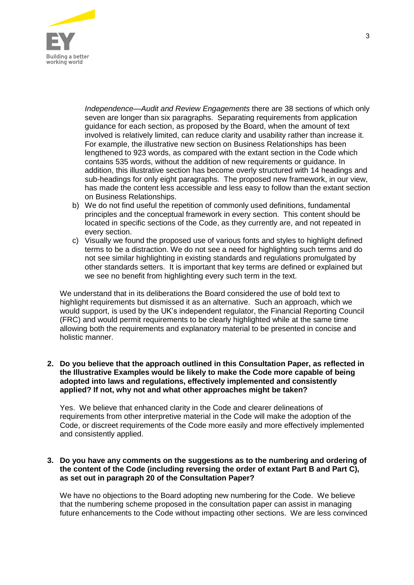

*Independence—Audit and Review Engagements* there are 38 sections of which only seven are longer than six paragraphs. Separating requirements from application guidance for each section, as proposed by the Board, when the amount of text involved is relatively limited, can reduce clarity and usability rather than increase it. For example, the illustrative new section on Business Relationships has been lengthened to 923 words, as compared with the extant section in the Code which contains 535 words, without the addition of new requirements or guidance. In addition, this illustrative section has become overly structured with 14 headings and sub-headings for only eight paragraphs. The proposed new framework, in our view, has made the content less accessible and less easy to follow than the extant section on Business Relationships.

- b) We do not find useful the repetition of commonly used definitions, fundamental principles and the conceptual framework in every section. This content should be located in specific sections of the Code, as they currently are, and not repeated in every section.
- c) Visually we found the proposed use of various fonts and styles to highlight defined terms to be a distraction. We do not see a need for highlighting such terms and do not see similar highlighting in existing standards and regulations promulgated by other standards setters. It is important that key terms are defined or explained but we see no benefit from highlighting every such term in the text.

We understand that in its deliberations the Board considered the use of bold text to highlight requirements but dismissed it as an alternative. Such an approach, which we would support, is used by the UK's independent regulator, the Financial Reporting Council (FRC) and would permit requirements to be clearly highlighted while at the same time allowing both the requirements and explanatory material to be presented in concise and holistic manner.

#### **2. Do you believe that the approach outlined in this Consultation Paper, as reflected in the Illustrative Examples would be likely to make the Code more capable of being adopted into laws and regulations, effectively implemented and consistently applied? If not, why not and what other approaches might be taken?**

Yes. We believe that enhanced clarity in the Code and clearer delineations of requirements from other interpretive material in the Code will make the adoption of the Code, or discreet requirements of the Code more easily and more effectively implemented and consistently applied.

## **3. Do you have any comments on the suggestions as to the numbering and ordering of the content of the Code (including reversing the order of extant Part B and Part C), as set out in paragraph 20 of the Consultation Paper?**

We have no objections to the Board adopting new numbering for the Code. We believe that the numbering scheme proposed in the consultation paper can assist in managing future enhancements to the Code without impacting other sections. We are less convinced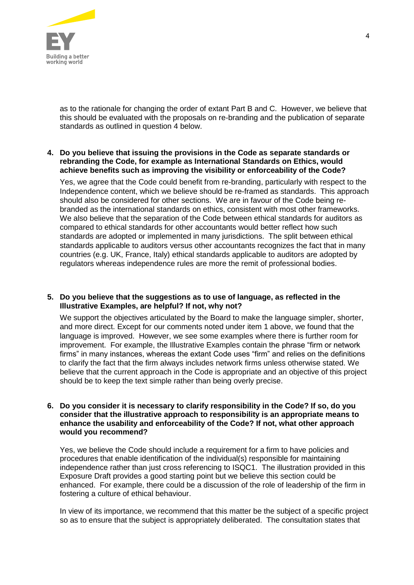

as to the rationale for changing the order of extant Part B and C. However, we believe that this should be evaluated with the proposals on re-branding and the publication of separate standards as outlined in question 4 below.

## **4. Do you believe that issuing the provisions in the Code as separate standards or rebranding the Code, for example as International Standards on Ethics, would achieve benefits such as improving the visibility or enforceability of the Code?**

Yes, we agree that the Code could benefit from re-branding, particularly with respect to the Independence content, which we believe should be re-framed as standards. This approach should also be considered for other sections. We are in favour of the Code being rebranded as the international standards on ethics, consistent with most other frameworks. We also believe that the separation of the Code between ethical standards for auditors as compared to ethical standards for other accountants would better reflect how such standards are adopted or implemented in many jurisdictions. The split between ethical standards applicable to auditors versus other accountants recognizes the fact that in many countries (e.g. UK, France, Italy) ethical standards applicable to auditors are adopted by regulators whereas independence rules are more the remit of professional bodies.

#### **5. Do you believe that the suggestions as to use of language, as reflected in the Illustrative Examples, are helpful? If not, why not?**

We support the objectives articulated by the Board to make the language simpler, shorter, and more direct. Except for our comments noted under item 1 above, we found that the language is improved. However, we see some examples where there is further room for improvement. For example, the Illustrative Examples contain the phrase "firm or network firms" in many instances, whereas the extant Code uses "firm" and relies on the definitions to clarify the fact that the firm always includes network firms unless otherwise stated. We believe that the current approach in the Code is appropriate and an objective of this project should be to keep the text simple rather than being overly precise.

#### **6. Do you consider it is necessary to clarify responsibility in the Code? If so, do you consider that the illustrative approach to responsibility is an appropriate means to enhance the usability and enforceability of the Code? If not, what other approach would you recommend?**

Yes, we believe the Code should include a requirement for a firm to have policies and procedures that enable identification of the individual(s) responsible for maintaining independence rather than just cross referencing to ISQC1. The illustration provided in this Exposure Draft provides a good starting point but we believe this section could be enhanced. For example, there could be a discussion of the role of leadership of the firm in fostering a culture of ethical behaviour.

In view of its importance, we recommend that this matter be the subject of a specific project so as to ensure that the subject is appropriately deliberated. The consultation states that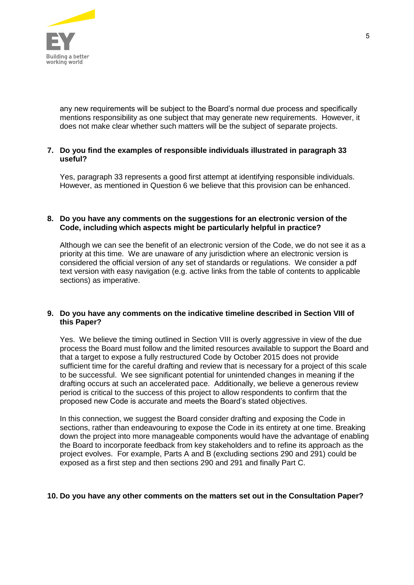

any new requirements will be subject to the Board's normal due process and specifically mentions responsibility as one subject that may generate new requirements. However, it does not make clear whether such matters will be the subject of separate projects.

# **7. Do you find the examples of responsible individuals illustrated in paragraph 33 useful?**

Yes, paragraph 33 represents a good first attempt at identifying responsible individuals. However, as mentioned in Question 6 we believe that this provision can be enhanced.

#### **8. Do you have any comments on the suggestions for an electronic version of the Code, including which aspects might be particularly helpful in practice?**

Although we can see the benefit of an electronic version of the Code, we do not see it as a priority at this time. We are unaware of any jurisdiction where an electronic version is considered the official version of any set of standards or regulations. We consider a pdf text version with easy navigation (e.g. active links from the table of contents to applicable sections) as imperative.

# **9. Do you have any comments on the indicative timeline described in Section VIII of this Paper?**

Yes. We believe the timing outlined in Section VIII is overly aggressive in view of the due process the Board must follow and the limited resources available to support the Board and that a target to expose a fully restructured Code by October 2015 does not provide sufficient time for the careful drafting and review that is necessary for a project of this scale to be successful. We see significant potential for unintended changes in meaning if the drafting occurs at such an accelerated pace. Additionally, we believe a generous review period is critical to the success of this project to allow respondents to confirm that the proposed new Code is accurate and meets the Board's stated objectives.

In this connection, we suggest the Board consider drafting and exposing the Code in sections, rather than endeavouring to expose the Code in its entirety at one time. Breaking down the project into more manageable components would have the advantage of enabling the Board to incorporate feedback from key stakeholders and to refine its approach as the project evolves. For example, Parts A and B (excluding sections 290 and 291) could be exposed as a first step and then sections 290 and 291 and finally Part C.

# **10. Do you have any other comments on the matters set out in the Consultation Paper?**